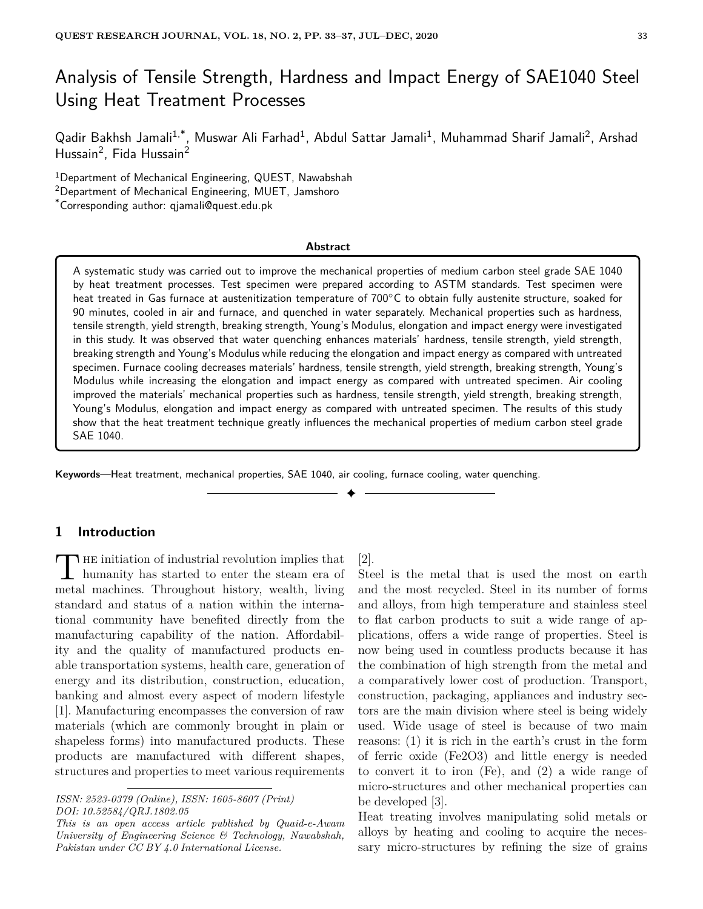# Analysis of Tensile Strength, Hardness and Impact Energy of SAE1040 Steel Using Heat Treatment Processes

Qadir Bakhsh Jamali $^{1,*}$ , Muswar Ali Farhad $^{1}$ , Abdul Sattar Jamali $^{1}$ , Muhammad Sharif Jamali $^{2}$ , Arshad Hussain<sup>2</sup>, Fida Hussain<sup>2</sup>

<sup>1</sup>Department of Mechanical Engineering, QUEST, Nawabshah

<sup>2</sup>Department of Mechanical Engineering, MUET, Jamshoro

\*Corresponding author: qjamali@quest.edu.pk

#### **Abstract**

A systematic study was carried out to improve the mechanical properties of medium carbon steel grade SAE 1040 by heat treatment processes. Test specimen were prepared according to ASTM standards. Test specimen were heat treated in Gas furnace at austenitization temperature of 700℃ to obtain fully austenite structure, soaked for 90 minutes, cooled in air and furnace, and quenched in water separately. Mechanical properties such as hardness, tensile strength, yield strength, breaking strength, Young's Modulus, elongation and impact energy were investigated in this study. It was observed that water quenching enhances materials' hardness, tensile strength, yield strength, breaking strength and Young's Modulus while reducing the elongation and impact energy as compared with untreated specimen. Furnace cooling decreases materials' hardness, tensile strength, yield strength, breaking strength, Young's Modulus while increasing the elongation and impact energy as compared with untreated specimen. Air cooling improved the materials' mechanical properties such as hardness, tensile strength, yield strength, breaking strength, Young's Modulus, elongation and impact energy as compared with untreated specimen. The results of this study show that the heat treatment technique greatly influences the mechanical properties of medium carbon steel grade SAE 1040.

**Keywords**—Heat treatment, mechanical properties, SAE 1040, air cooling, furnace cooling, water quenching.

# **1 Introduction**

The initiation of industrial revolution implies that<br>humanity has started to enter the steam era of **HE** initiation of industrial revolution implies that metal machines. Throughout history, wealth, living standard and status of a nation within the international community have benefited directly from the manufacturing capability of the nation. Affordability and the quality of manufactured products enable transportation systems, health care, generation of energy and its distribution, construction, education, banking and almost every aspect of modern lifestyle [1]. Manufacturing encompasses the conversion of raw materials (which are commonly brought in plain or shapeless forms) into manufactured products. These products are manufactured with different shapes, structures and properties to meet various requirements

[2].

✦

Steel is the metal that is used the most on earth and the most recycled. Steel in its number of forms and alloys, from high temperature and stainless steel to flat carbon products to suit a wide range of applications, offers a wide range of properties. Steel is now being used in countless products because it has the combination of high strength from the metal and a comparatively lower cost of production. Transport, construction, packaging, appliances and industry sectors are the main division where steel is being widely used. Wide usage of steel is because of two main reasons: (1) it is rich in the earth's crust in the form of ferric oxide (Fe2O3) and little energy is needed to convert it to iron (Fe), and (2) a wide range of micro-structures and other mechanical properties can be developed [3].

Heat treating involves manipulating solid metals or alloys by heating and cooling to acquire the necessary micro-structures by refining the size of grains

*ISSN: 2523-0379 (Online), ISSN: 1605-8607 (Print) DOI: 10.52584/QRJ.1802.05*

*This is an open access article published by Quaid-e-Awam University of Engineering Science & Technology, Nawabshah, Pakistan under CC BY 4.0 International License.*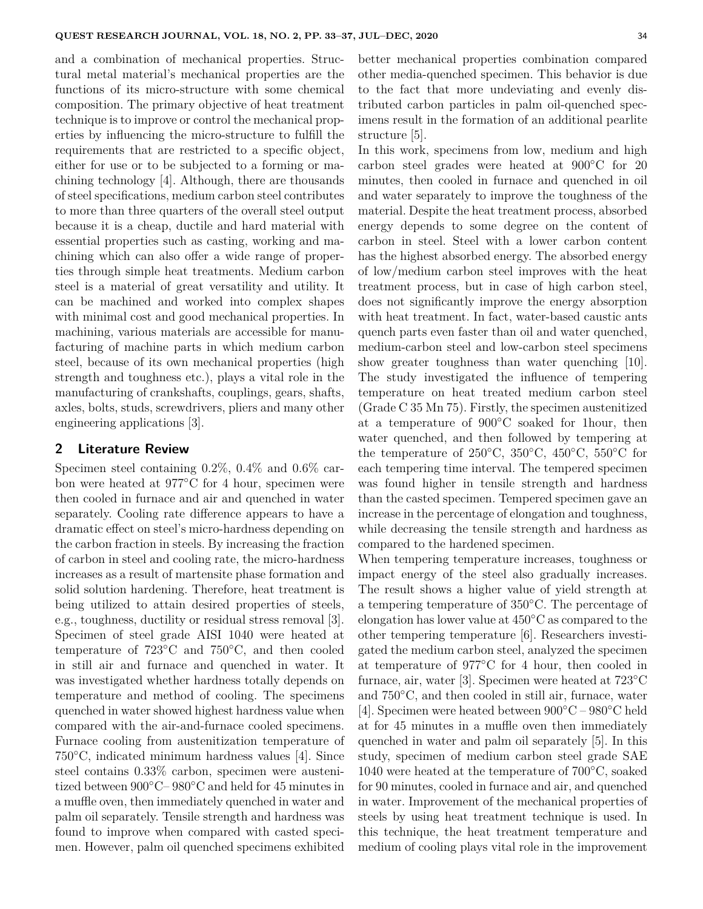and a combination of mechanical properties. Structural metal material's mechanical properties are the functions of its micro-structure with some chemical composition. The primary objective of heat treatment technique is to improve or control the mechanical properties by influencing the micro-structure to fulfill the requirements that are restricted to a specific object, either for use or to be subjected to a forming or machining technology [4]. Although, there are thousands of steel specifications, medium carbon steel contributes to more than three quarters of the overall steel output because it is a cheap, ductile and hard material with essential properties such as casting, working and machining which can also offer a wide range of properties through simple heat treatments. Medium carbon steel is a material of great versatility and utility. It can be machined and worked into complex shapes with minimal cost and good mechanical properties. In machining, various materials are accessible for manufacturing of machine parts in which medium carbon steel, because of its own mechanical properties (high strength and toughness etc.), plays a vital role in the manufacturing of crankshafts, couplings, gears, shafts, axles, bolts, studs, screwdrivers, pliers and many other engineering applications [3].

# **2 Literature Review**

Specimen steel containing 0.2%, 0.4% and 0.6% carbon were heated at 977◦C for 4 hour, specimen were then cooled in furnace and air and quenched in water separately. Cooling rate difference appears to have a dramatic effect on steel's micro-hardness depending on the carbon fraction in steels. By increasing the fraction of carbon in steel and cooling rate, the micro-hardness increases as a result of martensite phase formation and solid solution hardening. Therefore, heat treatment is being utilized to attain desired properties of steels, e.g., toughness, ductility or residual stress removal [3]. Specimen of steel grade AISI 1040 were heated at temperature of 723◦C and 750◦C, and then cooled in still air and furnace and quenched in water. It was investigated whether hardness totally depends on temperature and method of cooling. The specimens quenched in water showed highest hardness value when compared with the air-and-furnace cooled specimens. Furnace cooling from austenitization temperature of 750◦C, indicated minimum hardness values [4]. Since steel contains 0.33% carbon, specimen were austenitized between 900◦C– 980◦C and held for 45 minutes in a muffle oven, then immediately quenched in water and palm oil separately. Tensile strength and hardness was found to improve when compared with casted specimen. However, palm oil quenched specimens exhibited better mechanical properties combination compared other media-quenched specimen. This behavior is due to the fact that more undeviating and evenly distributed carbon particles in palm oil-quenched specimens result in the formation of an additional pearlite structure [5].

In this work, specimens from low, medium and high carbon steel grades were heated at 900◦C for 20 minutes, then cooled in furnace and quenched in oil and water separately to improve the toughness of the material. Despite the heat treatment process, absorbed energy depends to some degree on the content of carbon in steel. Steel with a lower carbon content has the highest absorbed energy. The absorbed energy of low/medium carbon steel improves with the heat treatment process, but in case of high carbon steel, does not significantly improve the energy absorption with heat treatment. In fact, water-based caustic ants quench parts even faster than oil and water quenched, medium-carbon steel and low-carbon steel specimens show greater toughness than water quenching [10]. The study investigated the influence of tempering temperature on heat treated medium carbon steel (Grade C 35 Mn 75). Firstly, the specimen austenitized at a temperature of 900◦C soaked for 1hour, then water quenched, and then followed by tempering at the temperature of 250 $\rm{^{\circ}C}$ , 350 $\rm{^{\circ}C}$ , 450 $\rm{^{\circ}C}$ , 550 $\rm{^{\circ}C}$  for each tempering time interval. The tempered specimen was found higher in tensile strength and hardness than the casted specimen. Tempered specimen gave an increase in the percentage of elongation and toughness, while decreasing the tensile strength and hardness as compared to the hardened specimen.

When tempering temperature increases, toughness or impact energy of the steel also gradually increases. The result shows a higher value of yield strength at a tempering temperature of 350◦C. The percentage of elongation has lower value at 450◦C as compared to the other tempering temperature [6]. Researchers investigated the medium carbon steel, analyzed the specimen at temperature of 977◦C for 4 hour, then cooled in furnace, air, water [3]. Specimen were heated at 723◦C and 750◦C, and then cooled in still air, furnace, water [4]. Specimen were heated between 900◦C – 980◦C held at for 45 minutes in a muffle oven then immediately quenched in water and palm oil separately [5]. In this study, specimen of medium carbon steel grade SAE 1040 were heated at the temperature of 700◦C, soaked for 90 minutes, cooled in furnace and air, and quenched in water. Improvement of the mechanical properties of steels by using heat treatment technique is used. In this technique, the heat treatment temperature and medium of cooling plays vital role in the improvement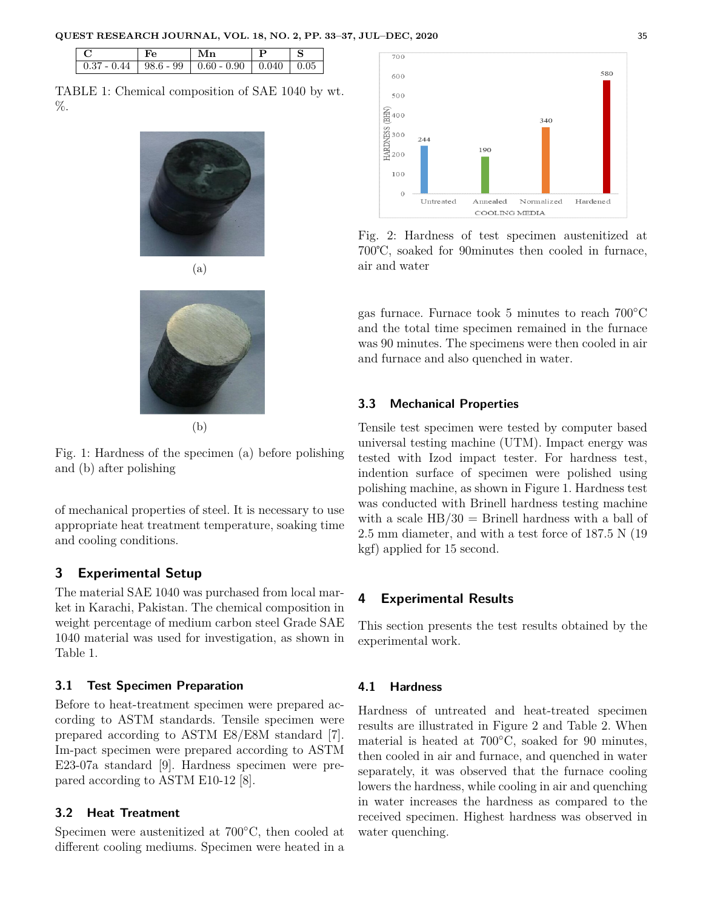| $\mathbf{F}$ e | $\ln$                                                                        |  |
|----------------|------------------------------------------------------------------------------|--|
|                | $\vert 0.37 - 0.44 \vert 98.6 - 99 \vert 0.60 - 0.90 \vert 0.040 \vert 0.05$ |  |

TABLE 1: Chemical composition of SAE 1040 by wt. %.







(b)

Fig. 1: Hardness of the specimen (a) before polishing and (b) after polishing

of mechanical properties of steel. It is necessary to use appropriate heat treatment temperature, soaking time and cooling conditions.

# **3 Experimental Setup**

The material SAE 1040 was purchased from local market in Karachi, Pakistan. The chemical composition in weight percentage of medium carbon steel Grade SAE 1040 material was used for investigation, as shown in Table 1.

## **3.1 Test Specimen Preparation**

Before to heat-treatment specimen were prepared according to ASTM standards. Tensile specimen were prepared according to ASTM E8/E8M standard [7]. Im-pact specimen were prepared according to ASTM E23-07a standard [9]. Hardness specimen were prepared according to ASTM E10-12 [8].

## **3.2 Heat Treatment**

Specimen were austenitized at 700◦C, then cooled at different cooling mediums. Specimen were heated in a



Fig. 2: Hardness of test specimen austenitized at 700℃, soaked for 90minutes then cooled in furnace, air and water

gas furnace. Furnace took 5 minutes to reach 700◦C and the total time specimen remained in the furnace was 90 minutes. The specimens were then cooled in air and furnace and also quenched in water.

## **3.3 Mechanical Properties**

Tensile test specimen were tested by computer based universal testing machine (UTM). Impact energy was tested with Izod impact tester. For hardness test, indention surface of specimen were polished using polishing machine, as shown in Figure 1. Hardness test was conducted with Brinell hardness testing machine with a scale  $HB/30 =$  Brinell hardness with a ball of 2.5 mm diameter, and with a test force of 187.5 N (19 kgf) applied for 15 second.

# **4 Experimental Results**

This section presents the test results obtained by the experimental work.

## **4.1 Hardness**

Hardness of untreated and heat-treated specimen results are illustrated in Figure 2 and Table 2. When material is heated at 700◦C, soaked for 90 minutes, then cooled in air and furnace, and quenched in water separately, it was observed that the furnace cooling lowers the hardness, while cooling in air and quenching in water increases the hardness as compared to the received specimen. Highest hardness was observed in water quenching.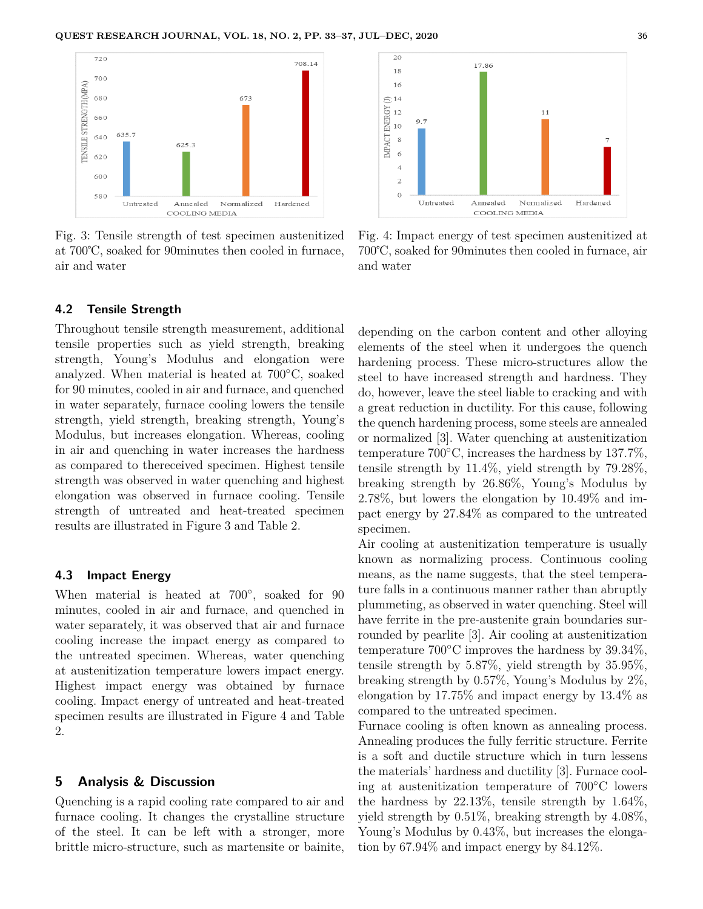

Fig. 3: Tensile strength of test specimen austenitized at 700℃, soaked for 90minutes then cooled in furnace, air and water

## **4.2 Tensile Strength**

Throughout tensile strength measurement, additional tensile properties such as yield strength, breaking strength, Young's Modulus and elongation were analyzed. When material is heated at 700◦C, soaked for 90 minutes, cooled in air and furnace, and quenched in water separately, furnace cooling lowers the tensile strength, yield strength, breaking strength, Young's Modulus, but increases elongation. Whereas, cooling in air and quenching in water increases the hardness as compared to thereceived specimen. Highest tensile strength was observed in water quenching and highest elongation was observed in furnace cooling. Tensile strength of untreated and heat-treated specimen results are illustrated in Figure 3 and Table 2.

#### **4.3 Impact Energy**

When material is heated at 700°, soaked for 90 minutes, cooled in air and furnace, and quenched in water separately, it was observed that air and furnace cooling increase the impact energy as compared to the untreated specimen. Whereas, water quenching at austenitization temperature lowers impact energy. Highest impact energy was obtained by furnace cooling. Impact energy of untreated and heat-treated specimen results are illustrated in Figure 4 and Table 2.

#### **5 Analysis & Discussion**

Quenching is a rapid cooling rate compared to air and furnace cooling. It changes the crystalline structure of the steel. It can be left with a stronger, more brittle micro-structure, such as martensite or bainite,



Fig. 4: Impact energy of test specimen austenitized at 700℃, soaked for 90minutes then cooled in furnace, air and water

depending on the carbon content and other alloying elements of the steel when it undergoes the quench hardening process. These micro-structures allow the steel to have increased strength and hardness. They do, however, leave the steel liable to cracking and with a great reduction in ductility. For this cause, following the quench hardening process, some steels are annealed or normalized [3]. Water quenching at austenitization temperature 700◦C, increases the hardness by 137.7%, tensile strength by 11.4%, yield strength by 79.28%, breaking strength by 26.86%, Young's Modulus by 2.78%, but lowers the elongation by 10.49% and impact energy by 27.84% as compared to the untreated specimen.

Air cooling at austenitization temperature is usually known as normalizing process. Continuous cooling means, as the name suggests, that the steel temperature falls in a continuous manner rather than abruptly plummeting, as observed in water quenching. Steel will have ferrite in the pre-austenite grain boundaries surrounded by pearlite [3]. Air cooling at austenitization temperature  $700^{\circ}$ C improves the hardness by  $39.34\%$ , tensile strength by 5.87%, yield strength by 35.95%, breaking strength by 0.57%, Young's Modulus by 2%, elongation by 17.75% and impact energy by 13.4% as compared to the untreated specimen.

Furnace cooling is often known as annealing process. Annealing produces the fully ferritic structure. Ferrite is a soft and ductile structure which in turn lessens the materials' hardness and ductility [3]. Furnace cooling at austenitization temperature of 700◦C lowers the hardness by 22.13%, tensile strength by 1.64%, yield strength by 0.51%, breaking strength by 4.08%, Young's Modulus by 0.43%, but increases the elongation by 67.94% and impact energy by 84.12%.